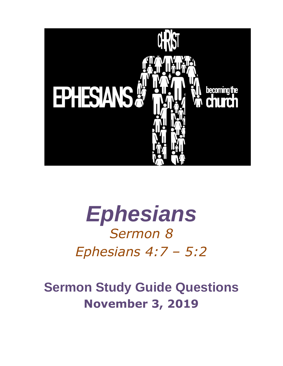

# *Ephesians Sermon 8 Ephesians 4:7 – 5:2*

# **Sermon Study Guide Questions November 3, 2019**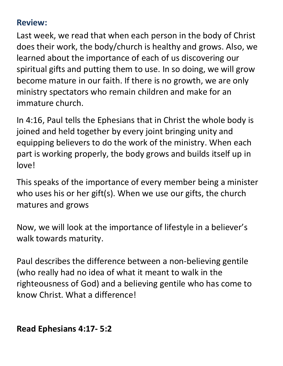#### **Review:**

Last week, we read that when each person in the body of Christ does their work, the body/church is healthy and grows. Also, we learned about the importance of each of us discovering our spiritual gifts and putting them to use. In so doing, we will grow become mature in our faith. If there is no growth, we are only ministry spectators who remain children and make for an immature church.

In 4:16, Paul tells the Ephesians that in Christ the whole body is joined and held together by every joint bringing unity and equipping believers to do the work of the ministry. When each part is working properly, the body grows and builds itself up in love!

This speaks of the importance of every member being a minister who uses his or her gift(s). When we use our gifts, the church matures and grows

Now, we will look at the importance of lifestyle in a believer's walk towards maturity.

Paul describes the difference between a non-believing gentile (who really had no idea of what it meant to walk in the righteousness of God) and a believing gentile who has come to know Christ. What a difference!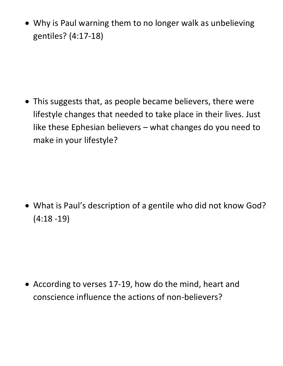• Why is Paul warning them to no longer walk as unbelieving gentiles? (4:17-18)

• This suggests that, as people became believers, there were lifestyle changes that needed to take place in their lives. Just like these Ephesian believers – what changes do you need to make in your lifestyle?

• What is Paul's description of a gentile who did not know God? (4:18 -19)

• According to verses 17-19, how do the mind, heart and conscience influence the actions of non-believers?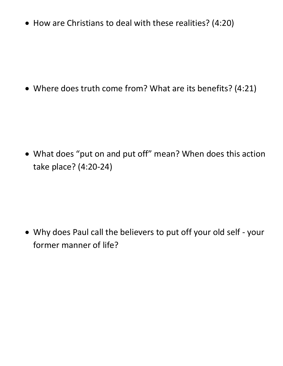• How are Christians to deal with these realities? (4:20)

• Where does truth come from? What are its benefits? (4:21)

• What does "put on and put off" mean? When does this action take place? (4:20-24)

• Why does Paul call the believers to put off your old self - your former manner of life?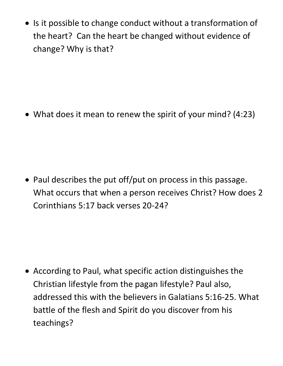• Is it possible to change conduct without a transformation of the heart? Can the heart be changed without evidence of change? Why is that?

• What does it mean to renew the spirit of your mind? (4:23)

• Paul describes the put off/put on process in this passage. What occurs that when a person receives Christ? How does 2 Corinthians 5:17 back verses 20-24?

• According to Paul, what specific action distinguishes the Christian lifestyle from the pagan lifestyle? Paul also, addressed this with the believers in Galatians 5:16-25. What battle of the flesh and Spirit do you discover from his teachings?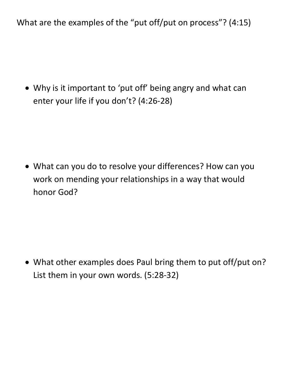What are the examples of the "put off/put on process"? (4:15)

• Why is it important to 'put off' being angry and what can enter your life if you don't? (4:26-28)

• What can you do to resolve your differences? How can you work on mending your relationships in a way that would honor God?

• What other examples does Paul bring them to put off/put on? List them in your own words. (5:28-32)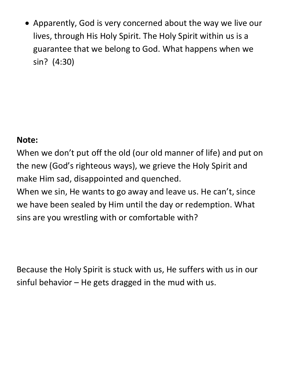• Apparently, God is very concerned about the way we live our lives, through His Holy Spirit. The Holy Spirit within us is a guarantee that we belong to God. What happens when we sin? (4:30)

### **Note:**

When we don't put off the old (our old manner of life) and put on the new (God's righteous ways), we grieve the Holy Spirit and make Him sad, disappointed and quenched.

When we sin, He wants to go away and leave us. He can't, since we have been sealed by Him until the day or redemption. What sins are you wrestling with or comfortable with?

Because the Holy Spirit is stuck with us, He suffers with us in our sinful behavior  $-$  He gets dragged in the mud with us.